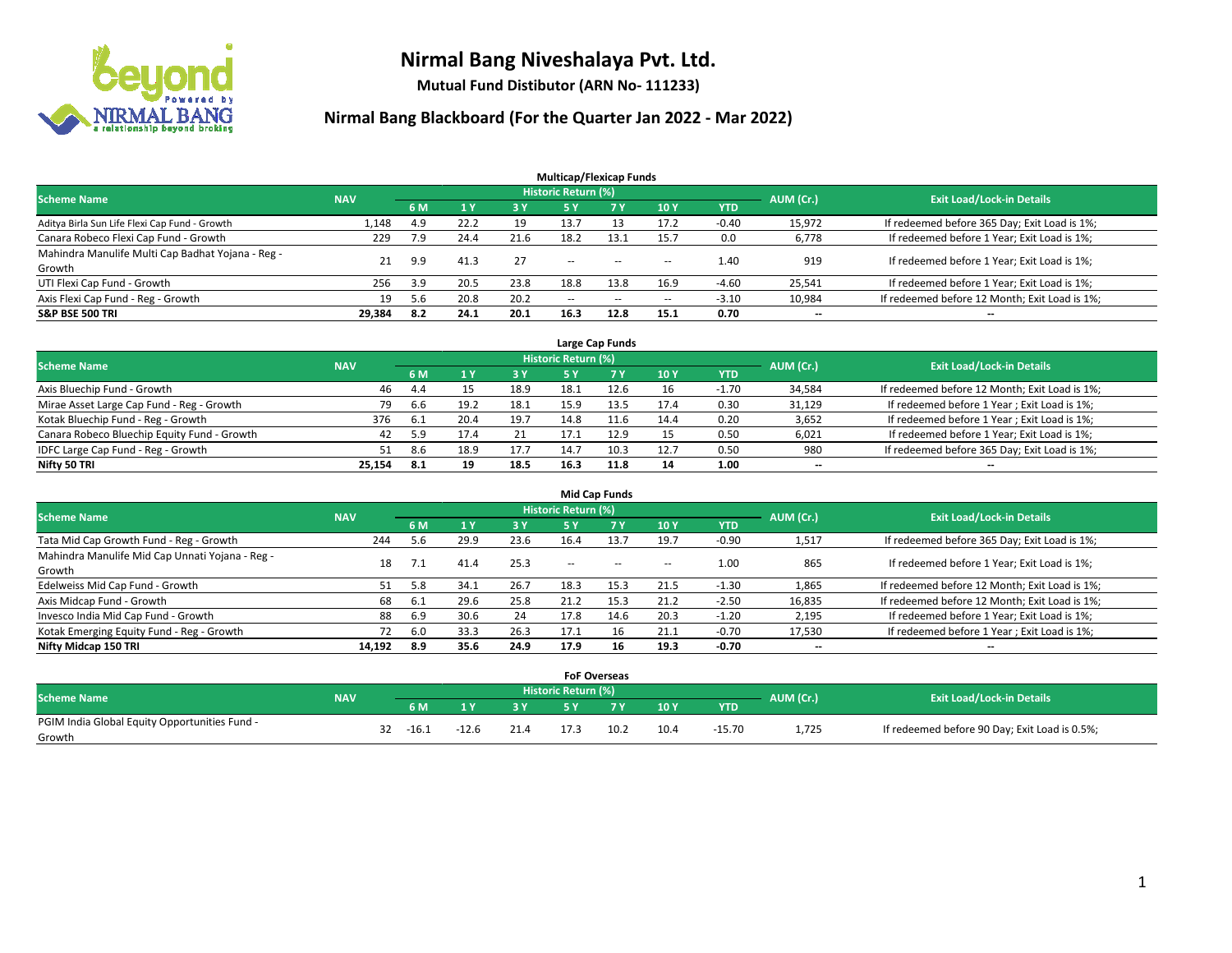

**Mutual Fund Distibutor (ARN No- 111233)**

|                                                   |            |     |      |      | <b>Multicap/Flexicap Funds</b> |           |                          |            |                          |                                               |
|---------------------------------------------------|------------|-----|------|------|--------------------------------|-----------|--------------------------|------------|--------------------------|-----------------------------------------------|
| <b>Scheme Name</b>                                | <b>NAV</b> |     |      |      | Historic Return (%)            |           |                          |            | AUM (Cr.)                | <b>Exit Load/Lock-in Details</b>              |
|                                                   |            | 6 M |      | 3 Y  | <b>5 Y</b>                     | <b>7Y</b> | <b>10Y</b>               | <b>YTD</b> |                          |                                               |
| Aditya Birla Sun Life Flexi Cap Fund - Growth     | 1,148      | 4.9 | 22.2 | 19   | 13.7                           | 13        | 17.2                     | $-0.40$    | 15,972                   | If redeemed before 365 Day; Exit Load is 1%;  |
| Canara Robeco Flexi Cap Fund - Growth             | 229        | 7.9 | 24.4 | 21.6 | 18.2                           | 13.1      | 15.7                     | 0.0        | 6,778                    | If redeemed before 1 Year; Exit Load is 1%;   |
| Mahindra Manulife Multi Cap Badhat Yojana - Reg - | 21         | 9.9 | 41.3 | 27   | --                             | $-$       | --                       | 1.40       | 919                      | If redeemed before 1 Year; Exit Load is 1%;   |
| Growth                                            |            |     |      |      |                                |           |                          |            |                          |                                               |
| UTI Flexi Cap Fund - Growth                       | 256        | 3.9 | 20.5 | 23.8 | 18.8                           | 13.8      | 16.9                     | $-4.60$    | 25,541                   | If redeemed before 1 Year; Exit Load is 1%;   |
| Axis Flexi Cap Fund - Reg - Growth                | 19         | 5.6 | 20.8 | 20.2 | $\overline{\phantom{m}}$       | $\sim$    | $\overline{\phantom{a}}$ | $-3.10$    | 10,984                   | If redeemed before 12 Month; Exit Load is 1%; |
| <b>S&amp;P BSE 500 TRI</b>                        | 29,384     | 8.2 | 24.1 | 20.1 | 16.3                           | 12.8      | 15.1                     | 0.70       | $\overline{\phantom{a}}$ | $\overline{\phantom{a}}$                      |

| Large Cap Funds                             |            |      |      |      |                            |      |      |            |           |                                               |  |  |  |
|---------------------------------------------|------------|------|------|------|----------------------------|------|------|------------|-----------|-----------------------------------------------|--|--|--|
| <b>Scheme Name</b>                          | <b>NAV</b> |      |      |      | <b>Historic Return (%)</b> |      |      |            | AUM (Cr.) | <b>Exit Load/Lock-in Details</b>              |  |  |  |
|                                             |            | 6 M  |      | 3 Y  |                            |      | 10Y  | <b>YTD</b> |           |                                               |  |  |  |
| Axis Bluechip Fund - Growth                 | 46         | -4.4 |      | 18.9 | 18.1                       | 12.6 | 16   | $-1.70$    | 34,584    | If redeemed before 12 Month; Exit Load is 1%; |  |  |  |
| Mirae Asset Large Cap Fund - Reg - Growth   | 79         | 6.6  | 19.2 | 18.1 | 15.9                       |      | 17.4 | 0.30       | 31,129    | If redeemed before 1 Year; Exit Load is 1%;   |  |  |  |
| Kotak Bluechip Fund - Reg - Growth          | 376        | -6.1 | 20.4 | 19.7 | 14.8                       | 11.6 | 14.4 | 0.20       | 3,652     | If redeemed before 1 Year; Exit Load is 1%;   |  |  |  |
| Canara Robeco Bluechip Equity Fund - Growth | 42         | 5.9  |      |      | 17.1                       | 12.9 | 15   | 0.50       | 6,021     | If redeemed before 1 Year; Exit Load is 1%;   |  |  |  |
| IDFC Large Cap Fund - Reg - Growth          |            | 8.6  | 18.9 | 17.7 | 14.7                       | 10.3 | 12.7 | 0.50       | 980       | If redeemed before 365 Day; Exit Load is 1%;  |  |  |  |
| Nifty 50 TRI                                | 25.154     | -8.1 | 19   | 18.5 | 16.3                       | 11.8 | 14   | 1.00       | $- -$     | $\overline{\phantom{a}}$                      |  |  |  |

| <b>Mid Cap Funds</b>                            |            |           |      |      |                     |           |      |            |           |                                               |  |  |  |
|-------------------------------------------------|------------|-----------|------|------|---------------------|-----------|------|------------|-----------|-----------------------------------------------|--|--|--|
| <b>Scheme Name</b>                              | <b>NAV</b> |           |      |      | Historic Return (%) |           |      |            | AUM (Cr.) | <b>Exit Load/Lock-in Details</b>              |  |  |  |
|                                                 |            | <b>6M</b> |      | 3 Y  | 5 Y                 | <b>7Y</b> | 10Y  | <b>YTD</b> |           |                                               |  |  |  |
| Tata Mid Cap Growth Fund - Reg - Growth         | 244        | 5.6       | 29.9 | 23.6 | 16.4                | 13.7      | 19.7 | $-0.90$    | 1,517     | If redeemed before 365 Day; Exit Load is 1%;  |  |  |  |
| Mahindra Manulife Mid Cap Unnati Yojana - Reg - | 18         |           | 41.4 | 25.3 | $-$                 | $\sim$    | $-$  | 1.00       | 865       | If redeemed before 1 Year; Exit Load is 1%;   |  |  |  |
| Growth                                          |            |           |      |      |                     |           |      |            |           |                                               |  |  |  |
| Edelweiss Mid Cap Fund - Growth                 | 51         | 5.8       | 34.1 | 26.7 | 18.3                | 15.3      | 21.5 | $-1.30$    | 1,865     | If redeemed before 12 Month; Exit Load is 1%; |  |  |  |
| Axis Midcap Fund - Growth                       | 68         | -6.1      | 29.6 | 25.8 | 21.2                | 15.3      | 21.2 | $-2.50$    | 16,835    | If redeemed before 12 Month; Exit Load is 1%; |  |  |  |
| Invesco India Mid Cap Fund - Growth             | 88         | 6.9       | 30.6 | 24   | 17.8                | 14.6      | 20.3 | $-1.20$    | 2,195     | If redeemed before 1 Year; Exit Load is 1%;   |  |  |  |
| Kotak Emerging Equity Fund - Reg - Growth       |            | 6.0       | 33.3 | 26.3 | 17.1                | 16        | 21.1 | $-0.70$    | 17,530    | If redeemed before 1 Year; Exit Load is 1%;   |  |  |  |
| Nifty Midcap 150 TRI                            | 14.192     | 8.9       | 35.6 | 24.9 | 17.9                | 16        | 19.3 | $-0.70$    | $- -$     | $\overline{\phantom{a}}$                      |  |  |  |

|                                               |            |         |         |      | <b>FoF Overseas</b>        |      |      |          |           |                                               |
|-----------------------------------------------|------------|---------|---------|------|----------------------------|------|------|----------|-----------|-----------------------------------------------|
| <b>Scheme Name</b>                            | <b>NAV</b> |         |         |      | <b>Historic Return (%)</b> |      |      |          |           | <b>Exit Load/Lock-in Details</b>              |
|                                               |            | 6 M     | ιv      | 3V   |                            | 7 V  | 10Y  | YTD      | AUM (Cr.) |                                               |
| PGIM India Global Equity Opportunities Fund - |            | $-16.1$ | $-12.6$ | 21.4 | 17.3                       | 10.2 | 10.4 | $-15.70$ | 1,725     | If redeemed before 90 Day; Exit Load is 0.5%; |
| Growth                                        |            |         |         |      |                            |      |      |          |           |                                               |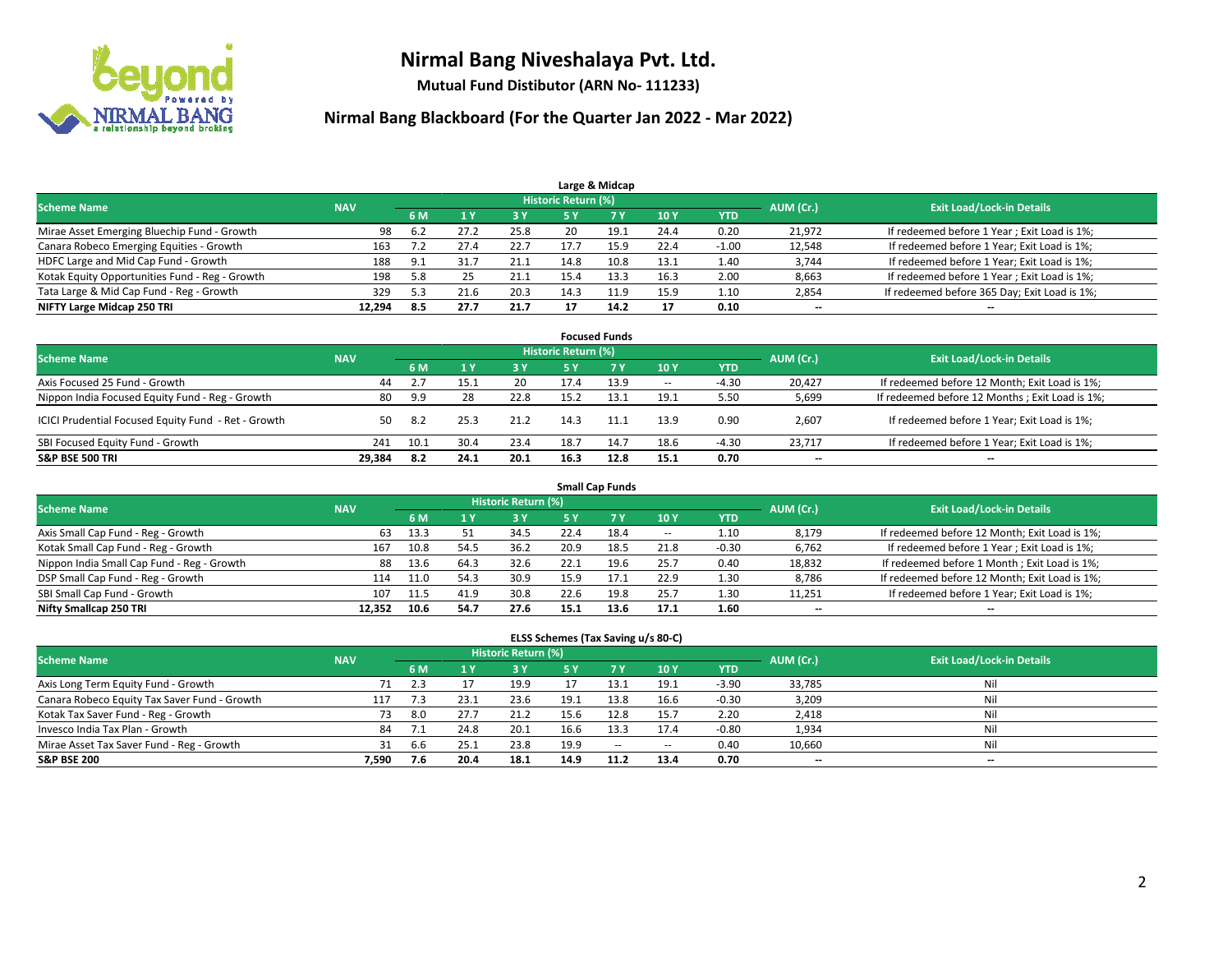

**Mutual Fund Distibutor (ARN No- 111233)**

| Large & Midcap                                 |            |            |      |      |                     |                   |      |         |           |                                              |  |  |  |
|------------------------------------------------|------------|------------|------|------|---------------------|-------------------|------|---------|-----------|----------------------------------------------|--|--|--|
| <b>Scheme Name</b>                             | <b>NAV</b> |            |      |      | Historic Return (%) |                   |      |         | AUM (Cr.) | <b>Exit Load/Lock-in Details</b>             |  |  |  |
|                                                |            | 6 M<br>3 Y |      | 5 ۷  |                     | 10Y<br><b>YTD</b> |      |         |           |                                              |  |  |  |
| Mirae Asset Emerging Bluechip Fund - Growth    | 98         | 6.2        |      | 25.8 | 20                  | 19.1              | 24.4 | 0.20    | 21,972    | If redeemed before 1 Year; Exit Load is 1%;  |  |  |  |
| Canara Robeco Emerging Equities - Growth       | 163        | 7.2        | 27.4 | 22.7 |                     | 15.9              | 22.4 | $-1.00$ | 12,548    | If redeemed before 1 Year; Exit Load is 1%;  |  |  |  |
| HDFC Large and Mid Cap Fund - Growth           | 188        | 9.1        |      | 21.1 | 14.8                | 10.8              | 13.1 | 1.40    | 3,744     | If redeemed before 1 Year; Exit Load is 1%;  |  |  |  |
| Kotak Equity Opportunities Fund - Reg - Growth | 198        | 5.8        |      | 21.1 | 15.4                |                   | 16.3 | 2.00    | 8,663     | If redeemed before 1 Year; Exit Load is 1%;  |  |  |  |
| Tata Large & Mid Cap Fund - Reg - Growth       | 329        | 5.3        | 21.6 | 20.3 | 14.3                | 11.9              | 15.9 | 1.10    | 2,854     | If redeemed before 365 Day; Exit Load is 1%; |  |  |  |
| NIFTY Large Midcap 250 TRI                     | 12.294     | -8.5       | 27.7 | 21.7 |                     | 14.2              | 17   | 0.10    | $- -$     | $- -$                                        |  |  |  |

| <b>Focused Funds</b>                                |            |      |      |      |                            |           |        |            |           |                                                 |  |  |  |
|-----------------------------------------------------|------------|------|------|------|----------------------------|-----------|--------|------------|-----------|-------------------------------------------------|--|--|--|
| <b>Scheme Name</b>                                  | <b>NAV</b> |      |      |      | <b>Historic Return (%)</b> |           |        |            | AUM (Cr.) | <b>Exit Load/Lock-in Details</b>                |  |  |  |
|                                                     |            | 6 M  |      | 3 Y  | 45 V                       | <b>7Y</b> | 10Y    | <b>YTD</b> |           |                                                 |  |  |  |
| Axis Focused 25 Fund - Growth                       | 44         |      | 15.1 | 20   | 17.4                       | 13.9      | $\sim$ | $-4.30$    | 20.427    | If redeemed before 12 Month; Exit Load is 1%;   |  |  |  |
| Nippon India Focused Equity Fund - Reg - Growth     | 80         | 9.9  | 28   | 22.8 | 15.2                       | 13.1      | 19.1   | 5.50       | 5,699     | If redeemed before 12 Months ; Exit Load is 1%; |  |  |  |
| ICICI Prudential Focused Equity Fund - Ret - Growth | 50         | 8.2  | 25.3 | 21.2 | 14.3                       | 11.1      | 13.9   | 0.90       | 2,607     | If redeemed before 1 Year; Exit Load is 1%;     |  |  |  |
| SBI Focused Equity Fund - Growth                    | 241        | 10.1 | 30.4 | 23.4 | 18.7                       | 14.7      | 18.6   | $-4.30$    | 23.717    | If redeemed before 1 Year; Exit Load is 1%;     |  |  |  |
| <b>S&amp;P BSE 500 TRI</b>                          | 29.384     | 8.2  | 24.1 | 20.1 | 16.3                       | 12.8      | 15.1   | 0.70       | $- -$     | $\overline{\phantom{a}}$                        |  |  |  |

| <b>Small Cap Funds</b>                     |            |      |      |                            |      |      |        |            |           |                                               |  |  |  |
|--------------------------------------------|------------|------|------|----------------------------|------|------|--------|------------|-----------|-----------------------------------------------|--|--|--|
| <b>Scheme Name</b>                         | <b>NAV</b> |      |      | <b>Historic Return (%)</b> |      |      |        |            | AUM (Cr.) | <b>Exit Load/Lock-in Details</b>              |  |  |  |
|                                            |            | 6 M  |      | 3 Y                        | 5 Y  |      | 10 Y   | <b>YTD</b> |           |                                               |  |  |  |
| Axis Small Cap Fund - Reg - Growth         | 63         | 13.3 |      | 34.5                       | 22.4 | 18.4 | $\sim$ | 1.10       | 8,179     | If redeemed before 12 Month; Exit Load is 1%; |  |  |  |
| Kotak Small Cap Fund - Reg - Growth        | 167        | 10.8 | 54.5 | 36.2                       | 20.9 | 18.5 | 21.8   | $-0.30$    | 6,762     | If redeemed before 1 Year; Exit Load is 1%;   |  |  |  |
| Nippon India Small Cap Fund - Reg - Growth | 88         | 13.6 | 64.3 | 32.6                       | 22.1 | 19.6 | 25.7   | 0.40       | 18,832    | If redeemed before 1 Month; Exit Load is 1%;  |  |  |  |
| DSP Small Cap Fund - Reg - Growth          | 114        | 11.0 | 54.3 | 30.9                       | 15.9 |      | 22.9   | 1.30       | 8,786     | If redeemed before 12 Month; Exit Load is 1%; |  |  |  |
| SBI Small Cap Fund - Growth                | 107        | 11.5 | 41.9 | 30.8                       | 22.6 | 19.8 | 25.7   | 1.30       | 11,251    | If redeemed before 1 Year; Exit Load is 1%;   |  |  |  |
| Nifty Smallcap 250 TRI                     | 12.352     | 10.6 | 54.7 | 27.6                       | 15.1 | 13.6 | 17.1   | 1.60       | $- -$     | $- -$                                         |  |  |  |

| ELSS Schemes (Tax Saving u/s 80-C)           |            |     |      |                            |      |        |        |            |                          |                                  |  |  |  |
|----------------------------------------------|------------|-----|------|----------------------------|------|--------|--------|------------|--------------------------|----------------------------------|--|--|--|
| <b>Scheme Name</b>                           | <b>NAV</b> |     |      | <b>Historic Return (%)</b> |      |        |        |            | AUM (Cr.)                | <b>Exit Load/Lock-in Details</b> |  |  |  |
|                                              |            | 6 M |      | 3 Y                        |      |        | 10Y    | <b>YTD</b> |                          |                                  |  |  |  |
| Axis Long Term Equity Fund - Growth          |            | 2.3 |      | 19.9                       |      | 13.1   | 19.1   | $-3.90$    | 33,785                   | Nil                              |  |  |  |
| Canara Robeco Equity Tax Saver Fund - Growth | 117        | 7.3 | 23.1 | 23.6                       | 19.1 | 13.8   | 16.6   | $-0.30$    | 3,209                    | Nil                              |  |  |  |
| Kotak Tax Saver Fund - Reg - Growth          | 73         | 8.0 | 27.7 | 21.2                       | 15.6 | 12.8   | 15.7   | 2.20       | 2,418                    | Nil                              |  |  |  |
| Invesco India Tax Plan - Growth              | 84         |     | 24.8 | 20.1                       | 16.6 | 13.3   | 17.4   | $-0.80$    | 1,934                    | Nil                              |  |  |  |
| Mirae Asset Tax Saver Fund - Reg - Growth    | 31         | 6.6 | 25.1 | 23.8                       | 19.9 | $\sim$ | $\sim$ | 0.40       | 10,660                   | Nil                              |  |  |  |
| <b>S&amp;P BSE 200</b>                       | 7,590      | 7.6 | 20.4 | 18.1                       | 14.9 | 11.2   | 13.4   | 0.70       | $\overline{\phantom{a}}$ | $\overline{\phantom{a}}$         |  |  |  |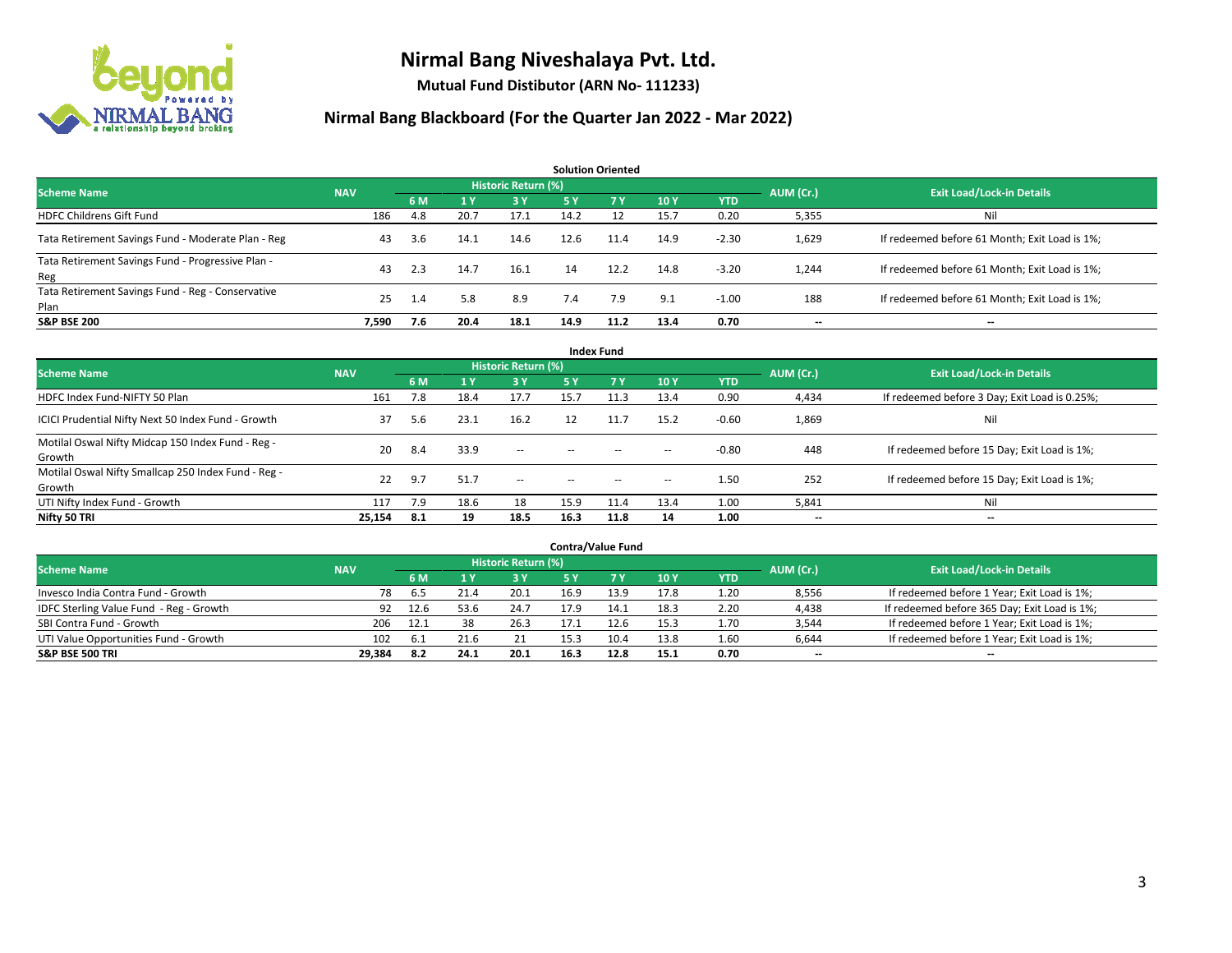

**Mutual Fund Distibutor (ARN No- 111233)**

| <b>Solution Oriented</b>                                  |            |     |      |                     |            |      |      |            |           |                                               |  |  |  |
|-----------------------------------------------------------|------------|-----|------|---------------------|------------|------|------|------------|-----------|-----------------------------------------------|--|--|--|
| <b>Scheme Name</b>                                        | <b>NAV</b> |     |      | Historic Return (%) |            |      |      |            | AUM (Cr.) | <b>Exit Load/Lock-in Details</b>              |  |  |  |
|                                                           |            | 6 M | 1Y   | 3 Y                 | <b>5 Y</b> | 7 Y  | 10Y  | <b>YTD</b> |           |                                               |  |  |  |
| <b>HDFC Childrens Gift Fund</b>                           | 186        | 4.8 | 20.7 | 17.1                | 14.2       | 12   | 15.7 | 0.20       | 5,355     | Nil                                           |  |  |  |
| Tata Retirement Savings Fund - Moderate Plan - Reg        | 43         | 3.6 | 14.1 | 14.6                | 12.6       | 11.4 | 14.9 | $-2.30$    | 1,629     | If redeemed before 61 Month; Exit Load is 1%; |  |  |  |
| Tata Retirement Savings Fund - Progressive Plan -<br>Reg  | 43         | 2.3 | 14.7 | 16.1                | 14         | 12.2 | 14.8 | $-3.20$    | 1,244     | If redeemed before 61 Month; Exit Load is 1%; |  |  |  |
| Tata Retirement Savings Fund - Reg - Conservative<br>Plan | 25         | 1.4 | 5.8  | 8.9                 | 7.4        | 7.9  | 9.1  | $-1.00$    | 188       | If redeemed before 61 Month; Exit Load is 1%; |  |  |  |
| <b>S&amp;P BSE 200</b>                                    | 7.590      | 7.6 | 20.4 | 18.1                | 14.9       | 11.2 | 13.4 | 0.70       |           | --                                            |  |  |  |

| <b>Index Fund</b>                                             |            |      |                |                     |        |                |                          |            |           |                                               |  |  |  |  |
|---------------------------------------------------------------|------------|------|----------------|---------------------|--------|----------------|--------------------------|------------|-----------|-----------------------------------------------|--|--|--|--|
| <b>Scheme Name</b>                                            | <b>NAV</b> |      |                | Historic Return (%) |        |                |                          |            | AUM (Cr.) | <b>Exit Load/Lock-in Details</b>              |  |  |  |  |
|                                                               |            | 6 M  | 1 <sub>V</sub> | <b>3Y</b>           | 5 Y    | 7 <sub>V</sub> | <b>10Y</b>               | <b>YTD</b> |           |                                               |  |  |  |  |
| HDFC Index Fund-NIFTY 50 Plan                                 | 161        | 7.8  | 18.4           | 17.7                | 15.7   | 11.3           | 13.4                     | 0.90       | 4,434     | If redeemed before 3 Day; Exit Load is 0.25%; |  |  |  |  |
| ICICI Prudential Nifty Next 50 Index Fund - Growth            | 37         | 5.6  | 23.1           | 16.2                | 12     | 11.7           | 15.2                     | $-0.60$    | 1,869     | Nil                                           |  |  |  |  |
| Motilal Oswal Nifty Midcap 150 Index Fund - Reg -<br>Growth   | 20         | 8.4  | 33.9           | $\sim$              | $\sim$ | $\sim$         | $\overline{\phantom{a}}$ | $-0.80$    | 448       | If redeemed before 15 Day; Exit Load is 1%;   |  |  |  |  |
| Motilal Oswal Nifty Smallcap 250 Index Fund - Reg -<br>Growth | 22         | 9.7  | 51.7           | $\sim$              | $\sim$ | $\sim$         | $\overline{\phantom{a}}$ | 1.50       | 252       | If redeemed before 15 Day; Exit Load is 1%;   |  |  |  |  |
| UTI Nifty Index Fund - Growth                                 | 117        | 7.9  | 18.6           | 18                  | 15.9   | 11.4           | 13.4                     | 1.00       | 5,841     | Nil                                           |  |  |  |  |
| Nifty 50 TRI                                                  | 25,154     | -8.1 | 19             | 18.5                | 16.3   | 11.8           | 14                       | 1.00       | $- -$     | $\overline{\phantom{a}}$                      |  |  |  |  |

| <b>Contra/Value Fund</b>                |            |      |      |                     |      |      |      |      |                          |                                              |  |  |  |
|-----------------------------------------|------------|------|------|---------------------|------|------|------|------|--------------------------|----------------------------------------------|--|--|--|
| <b>Scheme Name</b>                      | <b>NAV</b> |      |      | Historic Return (%) |      |      |      |      | AUM (Cr.)                | <b>Exit Load/Lock-in Details</b>             |  |  |  |
|                                         |            | 6 M  |      | 3 Y                 |      |      | 10Y  | YTD  |                          |                                              |  |  |  |
| Invesco India Contra Fund - Growth      | 78         | 6.5  | 21.4 | 20.1                | 16.9 | 13.9 | 17.8 | 1.20 | 8,556                    | If redeemed before 1 Year; Exit Load is 1%;  |  |  |  |
| IDFC Sterling Value Fund - Reg - Growth | 92         | 12.6 | 53.6 | 24.7                | 17.9 | 14.1 | 18.3 | 2.20 | 4,438                    | If redeemed before 365 Day; Exit Load is 1%; |  |  |  |
| SBI Contra Fund - Growth                | 206        | 12.1 | 38   | 26.3                |      |      | 15.3 | 1.70 | 3,544                    | If redeemed before 1 Year; Exit Load is 1%;  |  |  |  |
| UTI Value Opportunities Fund - Growth   | 102        | -6.1 | 21.6 | 21                  | 15.3 | 10.4 | 13.8 | 1.60 | 6,644                    | If redeemed before 1 Year; Exit Load is 1%;  |  |  |  |
| <b>S&amp;P BSE 500 TRI</b>              | 29,384     | 8.2  | 24.1 | 20.1                | 16.3 | 12.8 | 15.1 | 0.70 | $\overline{\phantom{a}}$ | $- -$                                        |  |  |  |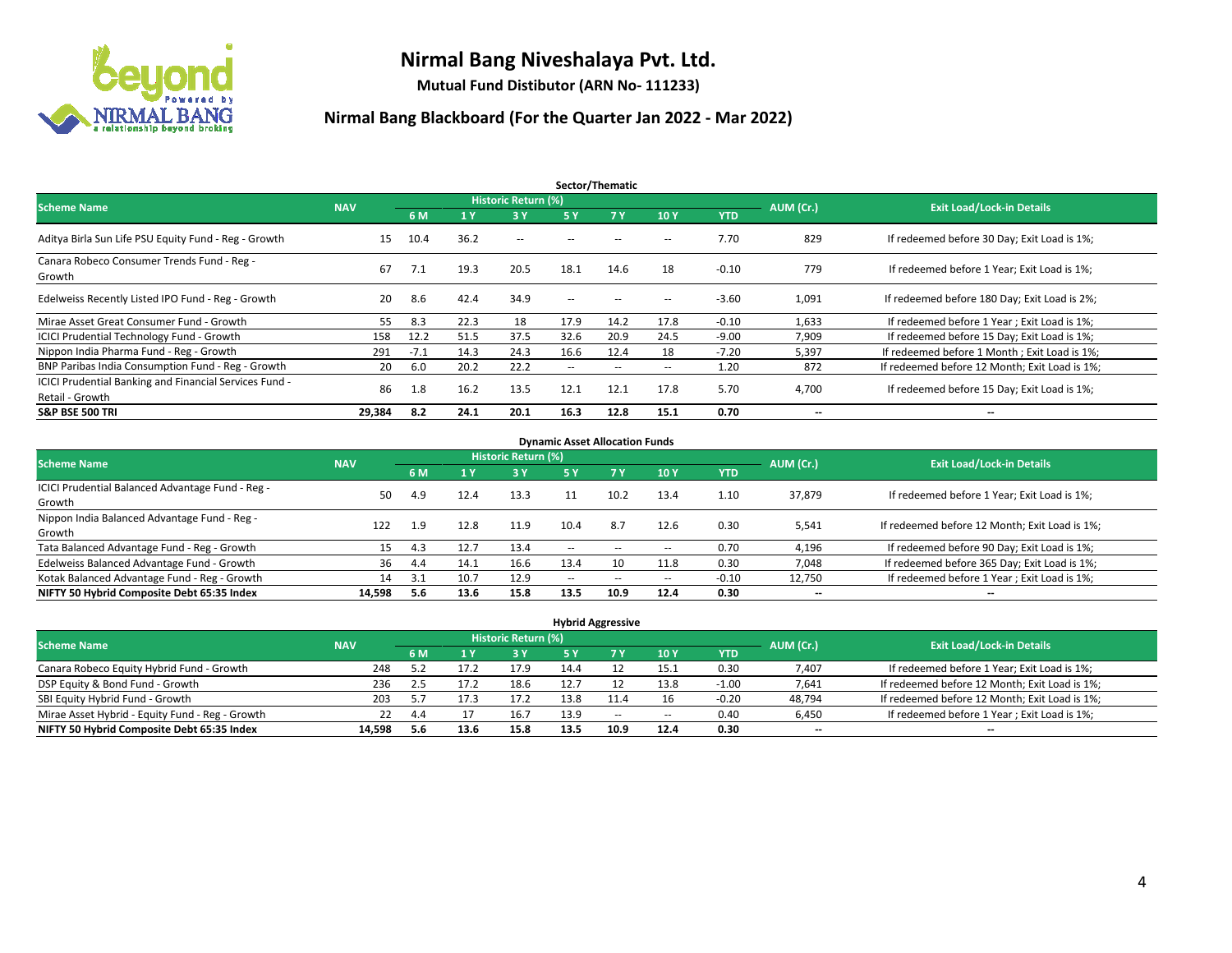

**Mutual Fund Distibutor (ARN No- 111233)**

| Sector/Thematic                                                           |            |        |      |                     |                          |                   |                          |            |                          |                                               |  |  |  |
|---------------------------------------------------------------------------|------------|--------|------|---------------------|--------------------------|-------------------|--------------------------|------------|--------------------------|-----------------------------------------------|--|--|--|
| <b>Scheme Name</b>                                                        | <b>NAV</b> |        |      | Historic Return (%) |                          |                   |                          |            | AUM (Cr.)                | <b>Exit Load/Lock-in Details</b>              |  |  |  |
|                                                                           |            | 6 M    | '1 Y | 3 Y                 | 5 Y                      | 7Y                | 10Y                      | <b>YTD</b> |                          |                                               |  |  |  |
| Aditya Birla Sun Life PSU Equity Fund - Reg - Growth                      | 15         | 10.4   | 36.2 | $\sim$ $-$          | $\sim$ $\sim$            | $\sim$            | $\overline{\phantom{a}}$ | 7.70       | 829                      | If redeemed before 30 Day; Exit Load is 1%;   |  |  |  |
| Canara Robeco Consumer Trends Fund - Reg -<br>Growth                      | 67         | 7.1    | 19.3 | 20.5                | 18.1                     | 14.6              | 18                       | $-0.10$    | 779                      | If redeemed before 1 Year; Exit Load is 1%;   |  |  |  |
| Edelweiss Recently Listed IPO Fund - Reg - Growth                         | 20         | 8.6    | 42.4 | 34.9                | $\overline{\phantom{a}}$ | $\hspace{0.05cm}$ | --                       | $-3.60$    | 1,091                    | If redeemed before 180 Day; Exit Load is 2%;  |  |  |  |
| Mirae Asset Great Consumer Fund - Growth                                  | 55         | 8.3    | 22.3 | 18                  | 17.9                     | 14.2              | 17.8                     | $-0.10$    | 1,633                    | If redeemed before 1 Year; Exit Load is 1%;   |  |  |  |
| <b>ICICI Prudential Technology Fund - Growth</b>                          | 158        | 12.2   | 51.5 | 37.5                | 32.6                     | 20.9              | 24.5                     | $-9.00$    | 7,909                    | If redeemed before 15 Day; Exit Load is 1%;   |  |  |  |
| Nippon India Pharma Fund - Reg - Growth                                   | 291        | $-7.1$ | 14.3 | 24.3                | 16.6                     | 12.4              | 18                       | $-7.20$    | 5,397                    | If redeemed before 1 Month; Exit Load is 1%;  |  |  |  |
| BNP Paribas India Consumption Fund - Reg - Growth                         | 20         | 6.0    | 20.2 | 22.2                | $\overline{\phantom{a}}$ | $\sim$            | $\overline{\phantom{a}}$ | 1.20       | 872                      | If redeemed before 12 Month; Exit Load is 1%; |  |  |  |
| ICICI Prudential Banking and Financial Services Fund -<br>Retail - Growth | 86         | 1.8    | 16.2 | 13.5                | 12.1                     | 12.1              | 17.8                     | 5.70       | 4,700                    | If redeemed before 15 Day; Exit Load is 1%;   |  |  |  |
| <b>S&amp;P BSE 500 TRI</b>                                                | 29.384     | 8.2    | 24.1 | 20.1                | 16.3                     | 12.8              | 15.1                     | 0.70       | $\overline{\phantom{a}}$ | $\overline{\phantom{a}}$                      |  |  |  |

| <b>Dynamic Asset Allocation Funds</b>            |            |      |      |                     |        |                          |                          |         |                          |                                               |  |  |  |
|--------------------------------------------------|------------|------|------|---------------------|--------|--------------------------|--------------------------|---------|--------------------------|-----------------------------------------------|--|--|--|
| <b>Scheme Name</b>                               | <b>NAV</b> |      |      | Historic Return (%) |        |                          |                          |         | AUM (Cr.)                | <b>Exit Load/Lock-in Details</b>              |  |  |  |
|                                                  |            | 6 M  | 4 Y  | 3 Y                 | 5 Y    | 7Y                       | 10Y                      | YTD     |                          |                                               |  |  |  |
| ICICI Prudential Balanced Advantage Fund - Reg - | 50         |      | 12.4 | 13.3                | 11     | 10.2                     | 13.4                     | 1.10    | 37,879                   | If redeemed before 1 Year; Exit Load is 1%;   |  |  |  |
| Growth                                           |            | 4.9  |      |                     |        |                          |                          |         |                          |                                               |  |  |  |
| Nippon India Balanced Advantage Fund - Reg -     | 122        | 1.9  | 12.8 | 11.9                | 10.4   | 8.7                      | 12.6                     | 0.30    | 5,541                    | If redeemed before 12 Month; Exit Load is 1%; |  |  |  |
| Growth                                           |            |      |      |                     |        |                          |                          |         |                          |                                               |  |  |  |
| Tata Balanced Advantage Fund - Reg - Growth      | 15         | -4.3 | 12.7 | 13.4                | $\sim$ | $\overline{\phantom{a}}$ | $\hspace{0.05cm} \cdots$ | 0.70    | 4.196                    | If redeemed before 90 Day; Exit Load is 1%;   |  |  |  |
| Edelweiss Balanced Advantage Fund - Growth       | 36         | 4.4  | 14.1 | 16.6                | 13.4   |                          | 11.8                     | 0.30    | 7,048                    | If redeemed before 365 Day; Exit Load is 1%;  |  |  |  |
| Kotak Balanced Advantage Fund - Reg - Growth     | 14         | 3.1  | 10.7 | 12.9                | $-$    | $\sim$                   | $\overline{\phantom{a}}$ | $-0.10$ | 12,750                   | If redeemed before 1 Year; Exit Load is 1%;   |  |  |  |
| NIFTY 50 Hybrid Composite Debt 65:35 Index       | 14.598     | 5.6  | 13.6 | 15.8                | 13.5   | 10.9                     | 12.4                     | 0.30    | $\overline{\phantom{a}}$ | $\overline{\phantom{a}}$                      |  |  |  |

| <b>Hybrid Aggressive</b>                        |            |      |      |                            |      |       |                          |         |           |                                               |  |  |  |
|-------------------------------------------------|------------|------|------|----------------------------|------|-------|--------------------------|---------|-----------|-----------------------------------------------|--|--|--|
| <b>Scheme Name</b>                              | <b>NAV</b> |      |      | <b>Historic Return (%)</b> |      |       |                          |         | AUM (Cr.) | <b>Exit Load/Lock-in Details</b>              |  |  |  |
|                                                 |            | 6 M  |      | <b>3Y</b>                  | 5 Y  |       | 10Y                      | YTD     |           |                                               |  |  |  |
| Canara Robeco Equity Hybrid Fund - Growth       | 248        | 57   |      | 17.9                       | 14.4 |       | 15.1                     | 0.30    | 7,407     | If redeemed before 1 Year; Exit Load is 1%;   |  |  |  |
| DSP Equity & Bond Fund - Growth                 | 236        | 2.5  |      | 18.6                       | 12.7 |       | 13.8                     | $-1.00$ | 7,641     | If redeemed before 12 Month; Exit Load is 1%; |  |  |  |
| SBI Equity Hybrid Fund - Growth                 | 203        | 5.7  | 17.3 | 17.2                       | 13.8 | 11.4  | 16                       | $-0.20$ | 48,794    | If redeemed before 12 Month; Exit Load is 1%; |  |  |  |
| Mirae Asset Hybrid - Equity Fund - Reg - Growth | 22         | 4.4  |      | 16.7                       | 13.9 | $- -$ | $\overline{\phantom{a}}$ | 0.40    | 6,450     | If redeemed before 1 Year; Exit Load is 1%;   |  |  |  |
| NIFTY 50 Hybrid Composite Debt 65:35 Index      | 14.598     | -5.6 | 13.6 | 15.8                       | 13.5 | 10.9  | 12.4                     | 0.30    | $- -$     | $\overline{\phantom{a}}$                      |  |  |  |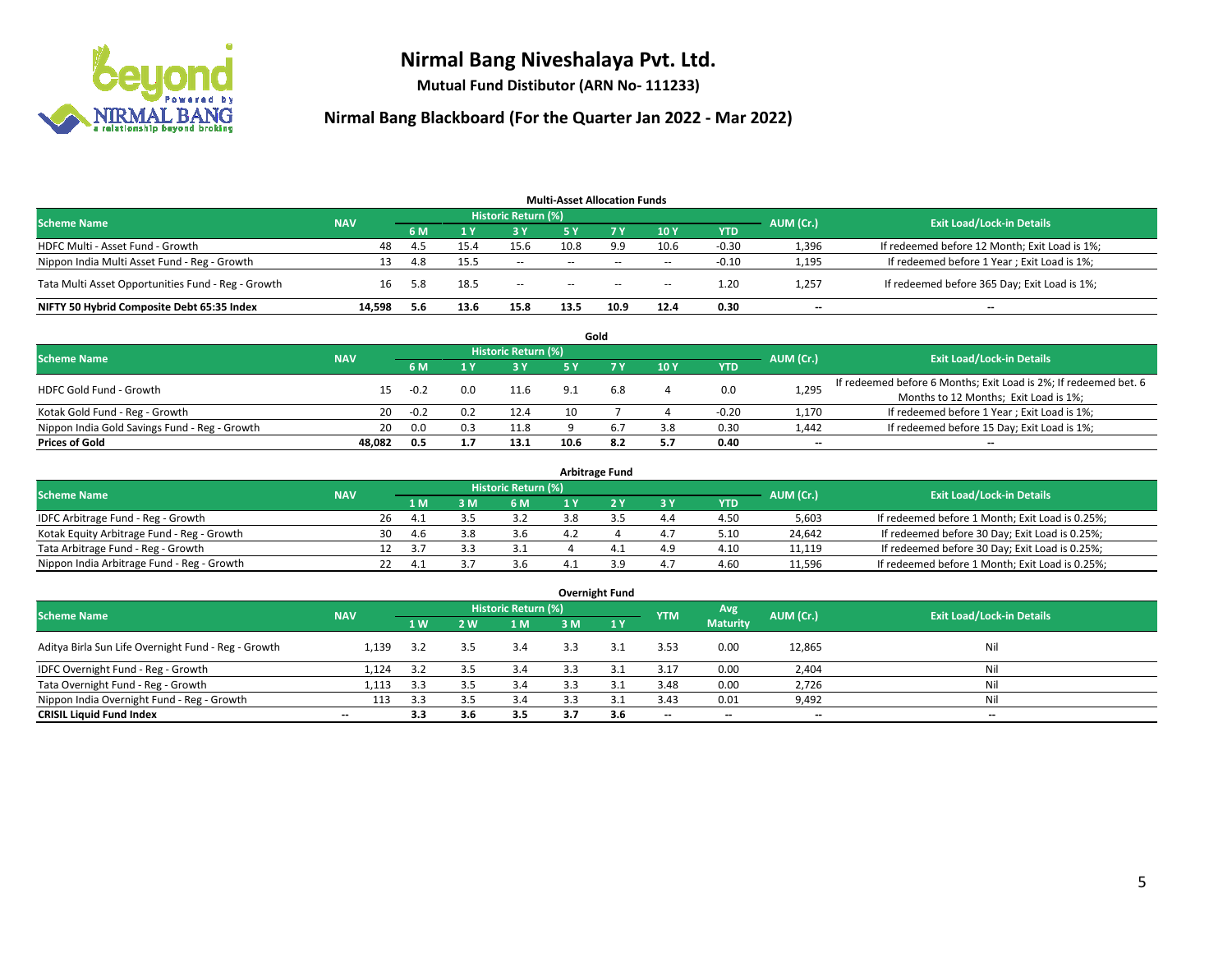

**Mutual Fund Distibutor (ARN No- 111233)**

| <b>Multi-Asset Allocation Funds</b>                |            |     |      |                            |               |                                                |                          |            |                          |                                               |  |  |  |
|----------------------------------------------------|------------|-----|------|----------------------------|---------------|------------------------------------------------|--------------------------|------------|--------------------------|-----------------------------------------------|--|--|--|
| <b>Scheme Name</b>                                 | <b>NAV</b> |     |      | <b>Historic Return (%)</b> |               |                                                |                          |            | AUM (Cr.)                | <b>Exit Load/Lock-in Details</b>              |  |  |  |
|                                                    |            | 6 M |      | <b>3 Y</b>                 | 5 Y           | 7 Y.                                           | 10Y                      | <b>YTD</b> |                          |                                               |  |  |  |
| HDFC Multi - Asset Fund - Growth                   | 48         | 4.5 | 15.4 | 15.6                       | 10.8          | 9.9                                            | 10.6                     | $-0.30$    | 1,396                    | If redeemed before 12 Month; Exit Load is 1%; |  |  |  |
| Nippon India Multi Asset Fund - Reg - Growth       | 13         | 4.8 | 15.5 | $\sim$                     | $\sim$ $\sim$ | $-$                                            | $\sim$                   | $-0.10$    | 1,195                    | If redeemed before 1 Year; Exit Load is 1%;   |  |  |  |
| Tata Multi Asset Opportunities Fund - Reg - Growth | 16         | 5.8 | 18.5 | $\sim$                     | $\sim$        | $\hspace{0.1mm}-\hspace{0.1mm}-\hspace{0.1mm}$ | $\overline{\phantom{a}}$ | 1.20       | 1,257                    | If redeemed before 365 Day; Exit Load is 1%;  |  |  |  |
| NIFTY 50 Hybrid Composite Debt 65:35 Index         | 14.598     | 5.6 | 13.6 | 15.8                       | 13.5          | 10.9                                           | 12.4                     | 0.30       | $\overline{\phantom{a}}$ | --                                            |  |  |  |

|                                               |            |        |     |                            |      | Gold |     |            |           |                                                                  |
|-----------------------------------------------|------------|--------|-----|----------------------------|------|------|-----|------------|-----------|------------------------------------------------------------------|
| <b>Scheme Name</b>                            | <b>NAV</b> |        |     | <b>Historic Return (%)</b> |      |      |     |            | AUM (Cr.) | <b>Exit Load/Lock-in Details</b>                                 |
|                                               |            | 6 M    |     | 3 Y                        | ς γ  |      | 10Y | <b>YTD</b> |           |                                                                  |
| <b>HDFC Gold Fund - Growth</b>                | 15         | $-0.2$ | 0.0 | 11.6                       | 9.1  | 6.8  |     | 0.0        | 1,295     | If redeemed before 6 Months; Exit Load is 2%; If redeemed bet. 6 |
|                                               |            |        |     |                            |      |      |     |            |           | Months to 12 Months; Exit Load is 1%;                            |
| Kotak Gold Fund - Reg - Growth                | 20         | $-0.2$ |     | 12.4                       |      |      |     | $-0.20$    | 1,170     | If redeemed before 1 Year; Exit Load is 1%;                      |
| Nippon India Gold Savings Fund - Reg - Growth | 20         | 0.0    | 0.3 | 11.8                       |      |      | 3.8 | 0.30       | 1,442     | If redeemed before 15 Day; Exit Load is 1%;                      |
| <b>Prices of Gold</b>                         | 48.082     | 0.5    |     | 13.1                       | 10.6 | 8.2  | 5.7 | 0.40       | $- -$     | $\overline{\phantom{a}}$                                         |

| <b>Arbitrage Fund</b>                      |            |                                  |        |     |     |  |   |     |            |        |                                                 |  |  |  |
|--------------------------------------------|------------|----------------------------------|--------|-----|-----|--|---|-----|------------|--------|-------------------------------------------------|--|--|--|
| <b>Scheme Name</b>                         | AUM (Cr.)  | <b>Exit Load/Lock-in Details</b> |        |     |     |  |   |     |            |        |                                                 |  |  |  |
|                                            | <b>NAV</b> |                                  | 1 M    | : M | 6 M |  |   | 3 Y | <b>YTD</b> |        |                                                 |  |  |  |
| IDFC Arbitrage Fund - Reg - Growth         |            | 26                               | 4.1    |     | 3.2 |  |   | 4.4 | 4.50       | 5,603  | If redeemed before 1 Month; Exit Load is 0.25%; |  |  |  |
| Kotak Equity Arbitrage Fund - Reg - Growth |            | 30                               | 4.b    |     | 3.6 |  |   | 4.7 | 5.10       | 24.642 | If redeemed before 30 Day; Exit Load is 0.25%;  |  |  |  |
| Tata Arbitrage Fund - Reg - Growth         |            |                                  | $\sim$ |     |     |  | 4 | 4.9 | 4.10       | 11.119 | If redeemed before 30 Day; Exit Load is 0.25%;  |  |  |  |
| Nippon India Arbitrage Fund - Reg - Growth |            |                                  | 4.     |     | 3.b |  |   | 4.7 | 4.60       | 11,596 | If redeemed before 1 Month; Exit Load is 0.25%; |  |  |  |

| <b>Overnight Fund</b>                               |                          |     |     |                            |     |              |                          |                 |                          |                                  |  |  |  |  |
|-----------------------------------------------------|--------------------------|-----|-----|----------------------------|-----|--------------|--------------------------|-----------------|--------------------------|----------------------------------|--|--|--|--|
| <b>Scheme Name</b>                                  | <b>NAV</b>               |     |     | <b>Historic Return (%)</b> |     |              | <b>YTM</b>               | Avg             | AUM (Cr.)                | <b>Exit Load/Lock-in Details</b> |  |  |  |  |
|                                                     |                          | 1W  | 2 W | 1 M                        | 3 M | 1Y           |                          | <b>Maturity</b> |                          |                                  |  |  |  |  |
| Aditya Birla Sun Life Overnight Fund - Reg - Growth | 1.139                    | 3.2 | 3.5 | 3.4                        |     | 3.1          | 3.53                     | 0.00            | 12,865                   | Nil                              |  |  |  |  |
| IDFC Overnight Fund - Reg - Growth                  | 1,124                    | 3.2 | 3.5 | 3.4                        | 3.3 | 3.1          | 3.17                     | 0.00            | 2,404                    | Nil                              |  |  |  |  |
| Tata Overnight Fund - Reg - Growth                  | 1,113                    | 3.3 | 3.5 | 3.4                        | 3.3 | $\mathbf{a}$ | 3.48                     | 0.00            | 2,726                    | Nil                              |  |  |  |  |
| Nippon India Overnight Fund - Reg - Growth          | 113                      | 3.3 | 3.5 | 3.4                        |     |              | 3.43                     | 0.01            | 9,492                    | Nil                              |  |  |  |  |
| <b>CRISIL Liquid Fund Index</b>                     | $\overline{\phantom{a}}$ | 3.3 | 3.6 | 3.5                        | 3.7 | 3.6          | $\overline{\phantom{a}}$ | $- -$           | $\overline{\phantom{a}}$ | $-$                              |  |  |  |  |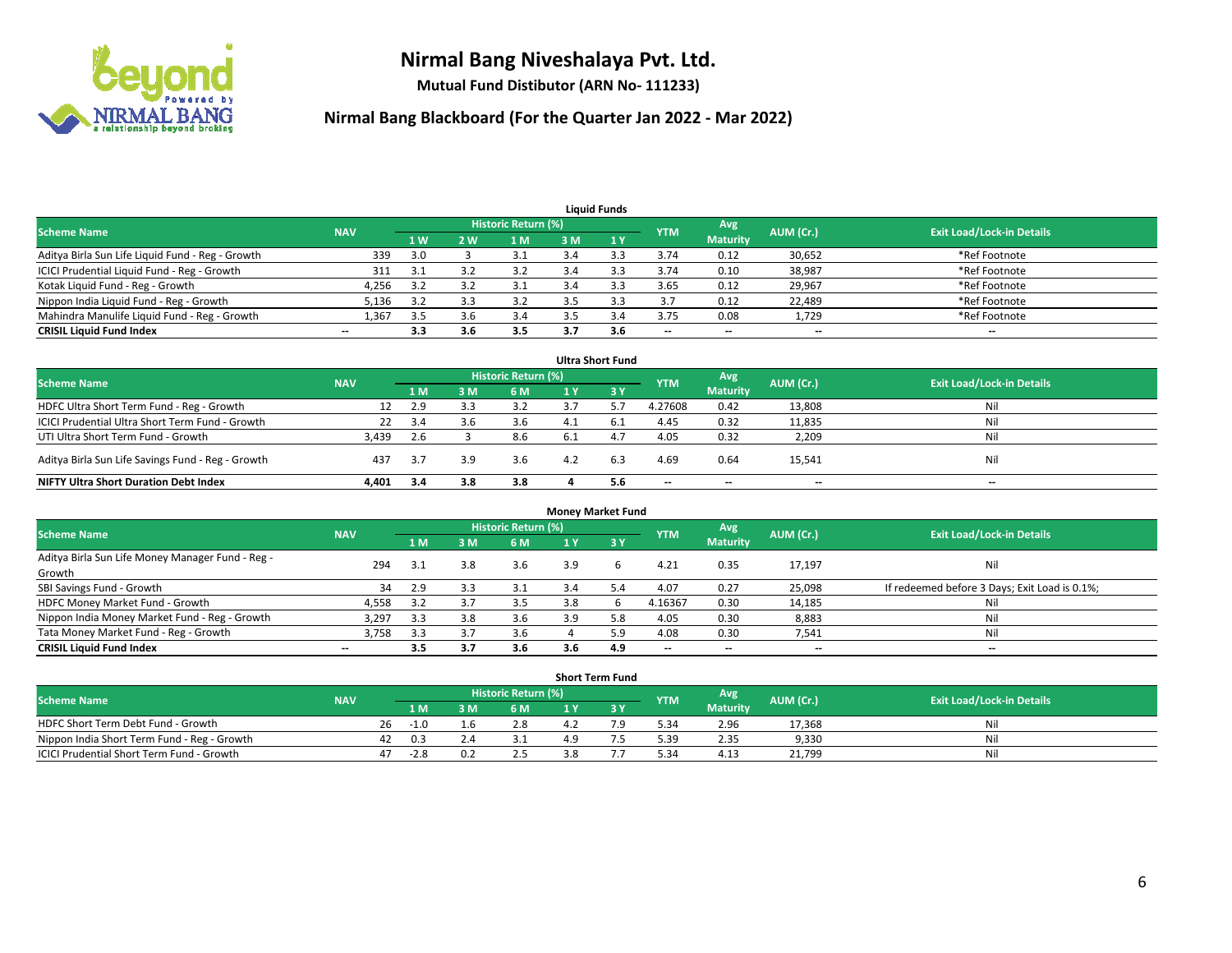

**Mutual Fund Distibutor (ARN No- 111233)**

| <b>Liauid Funds</b>                              |                          |     |     |                     |     |     |            |                          |           |                                  |  |  |  |
|--------------------------------------------------|--------------------------|-----|-----|---------------------|-----|-----|------------|--------------------------|-----------|----------------------------------|--|--|--|
| <b>Scheme Name</b>                               | <b>NAV</b>               |     |     | Historic Return (%) |     |     | <b>YTM</b> | Avg                      | AUM (Cr.) | <b>Exit Load/Lock-in Details</b> |  |  |  |
|                                                  |                          | 1W  | 2 W | 1 M                 | 3 M |     |            | <b>Maturity</b>          |           |                                  |  |  |  |
| Aditya Birla Sun Life Liquid Fund - Reg - Growth | 339                      | 3.0 |     |                     |     |     | 3.74       | 0.12                     | 30,652    | *Ref Footnote                    |  |  |  |
| ICICI Prudential Liquid Fund - Reg - Growth      | 311                      | 3.1 |     | 3.2                 | 3.4 |     | 3.74       | 0.10                     | 38,987    | *Ref Footnote                    |  |  |  |
| Kotak Liquid Fund - Reg - Growth                 | 4,256                    | 3.2 |     | 3.1                 |     |     | 3.65       | 0.12                     | 29,967    | *Ref Footnote                    |  |  |  |
| Nippon India Liquid Fund - Reg - Growth          | 5,136                    | 3.2 |     | 3.2                 |     |     | 3.7        | 0.12                     | 22,489    | *Ref Footnote                    |  |  |  |
| Mahindra Manulife Liquid Fund - Reg - Growth     | 1,367                    | 3.5 |     | 3.4                 |     |     | 3.75       | 0.08                     | 1,729     | *Ref Footnote                    |  |  |  |
| <b>CRISIL Liquid Fund Index</b>                  | $\overline{\phantom{a}}$ | 3.3 | 3.6 | 3.5                 |     | 3.6 | $- -$      | $\overline{\phantom{a}}$ | $- -$     | $\overline{\phantom{a}}$         |  |  |  |

| <b>Ultra Short Fund</b>                           |            |     |     |                            |     |      |            |                          |           |                                  |  |  |  |
|---------------------------------------------------|------------|-----|-----|----------------------------|-----|------|------------|--------------------------|-----------|----------------------------------|--|--|--|
| <b>Scheme Name</b>                                | <b>NAV</b> |     |     | <b>Historic Return (%)</b> |     |      | <b>YTM</b> | Avg                      | AUM (Cr.) | <b>Exit Load/Lock-in Details</b> |  |  |  |
|                                                   |            | 1 M | 3 M | <b>6M</b>                  |     | 3 Y  |            | <b>Maturity</b>          |           |                                  |  |  |  |
| HDFC Ultra Short Term Fund - Reg - Growth         |            | 2.9 |     | 3.2                        |     |      | 4.27608    | 0.42                     | 13,808    | Nil                              |  |  |  |
| ICICI Prudential Ultra Short Term Fund - Growth   | 22         | 3.4 | 3.b | 3.6                        | 4.1 | -6.1 | 4.45       | 0.32                     | 11,835    | Nil                              |  |  |  |
| UTI Ultra Short Term Fund - Growth                | 3,439      | 2.6 |     | 8.6                        | 6.1 |      | 4.05       | 0.32                     | 2,209     | Nil                              |  |  |  |
| Aditya Birla Sun Life Savings Fund - Reg - Growth | 437        | 3.7 | 3.9 | 3.6                        | 4.2 | 6.3  | 4.69       | 0.64                     | 15,541    | Nil                              |  |  |  |
| <b>NIFTY Ultra Short Duration Debt Index</b>      | 4,401      | 3.4 | 3.8 | 3.8                        |     | 5.6  | $- -$      | $\overline{\phantom{a}}$ | $- -$     | $- -$                            |  |  |  |

| <b>Money Market Fund</b>                         |            |     |     |                            |     |     |            |                          |           |                                               |  |  |  |
|--------------------------------------------------|------------|-----|-----|----------------------------|-----|-----|------------|--------------------------|-----------|-----------------------------------------------|--|--|--|
| <b>Scheme Name</b>                               | <b>NAV</b> |     |     | <b>Historic Return (%)</b> |     |     | <b>YTM</b> | Avg                      | AUM (Cr.) | <b>Exit Load/Lock-in Details</b>              |  |  |  |
|                                                  |            | 1 M | 3 M | 6 M                        | 1 Y | 3Y  |            | <b>Maturity</b>          |           |                                               |  |  |  |
| Aditya Birla Sun Life Money Manager Fund - Reg - | 294        | 3.1 | 3.8 | 3.6                        | 3.9 | h   | 4.21       | 0.35                     | 17,197    | Nil                                           |  |  |  |
| Growth                                           |            |     |     |                            |     |     |            |                          |           |                                               |  |  |  |
| SBI Savings Fund - Growth                        | 34         | 2.9 |     | 3.1                        | 3.4 |     | 4.07       | 0.27                     | 25,098    | If redeemed before 3 Days; Exit Load is 0.1%; |  |  |  |
| HDFC Money Market Fund - Growth                  | 4,558      | 3.2 |     | 3.5                        | 3.8 |     | 4.16367    | 0.30                     | 14,185    | Nil                                           |  |  |  |
| Nippon India Money Market Fund - Reg - Growth    | 3,297      | 3.3 | 3.8 | 3.6                        | 3.9 |     | 4.05       | 0.30                     | 8,883     | Nil                                           |  |  |  |
| Tata Money Market Fund - Reg - Growth            | 3,758      | 3.3 | э., | 3.6                        |     | 5.9 | 4.08       | 0.30                     | 7,541     | Nil                                           |  |  |  |
| <b>CRISIL Liquid Fund Index</b>                  | $-$        | 3.5 | 3.7 | 3.6                        | 3.6 | 4.9 | $-$        | $\overline{\phantom{a}}$ | $- -$     | $-$                                           |  |  |  |

| <b>Short Term Fund</b>                      |            |    |        |  |                     |     |  |            |                 |           |                                  |  |  |  |
|---------------------------------------------|------------|----|--------|--|---------------------|-----|--|------------|-----------------|-----------|----------------------------------|--|--|--|
| Scheme Name                                 | <b>NAV</b> |    |        |  | Historic Return (%) |     |  | <b>YTM</b> | Avg             | AUM (Cr.) | <b>Exit Load/Lock-in Details</b> |  |  |  |
|                                             |            |    | 1 M I  |  | 6 M                 |     |  |            | <b>Maturity</b> |           |                                  |  |  |  |
| HDFC Short Term Debt Fund - Growth          |            | 26 | -1.0   |  | 2.8                 |     |  | 5.34       | 2.96            | 17,368    | Nil                              |  |  |  |
| Nippon India Short Term Fund - Reg - Growth |            | 42 | 0.3    |  |                     | 1 Q |  | 5.39       | 2.35            | 9,330     | Nil                              |  |  |  |
| ICICI Prudential Short Term Fund - Growth   |            | 47 | $-2.8$ |  | 2.5                 | 3.ŏ |  | 5.34       | 4.13            | 21,799    | Nil                              |  |  |  |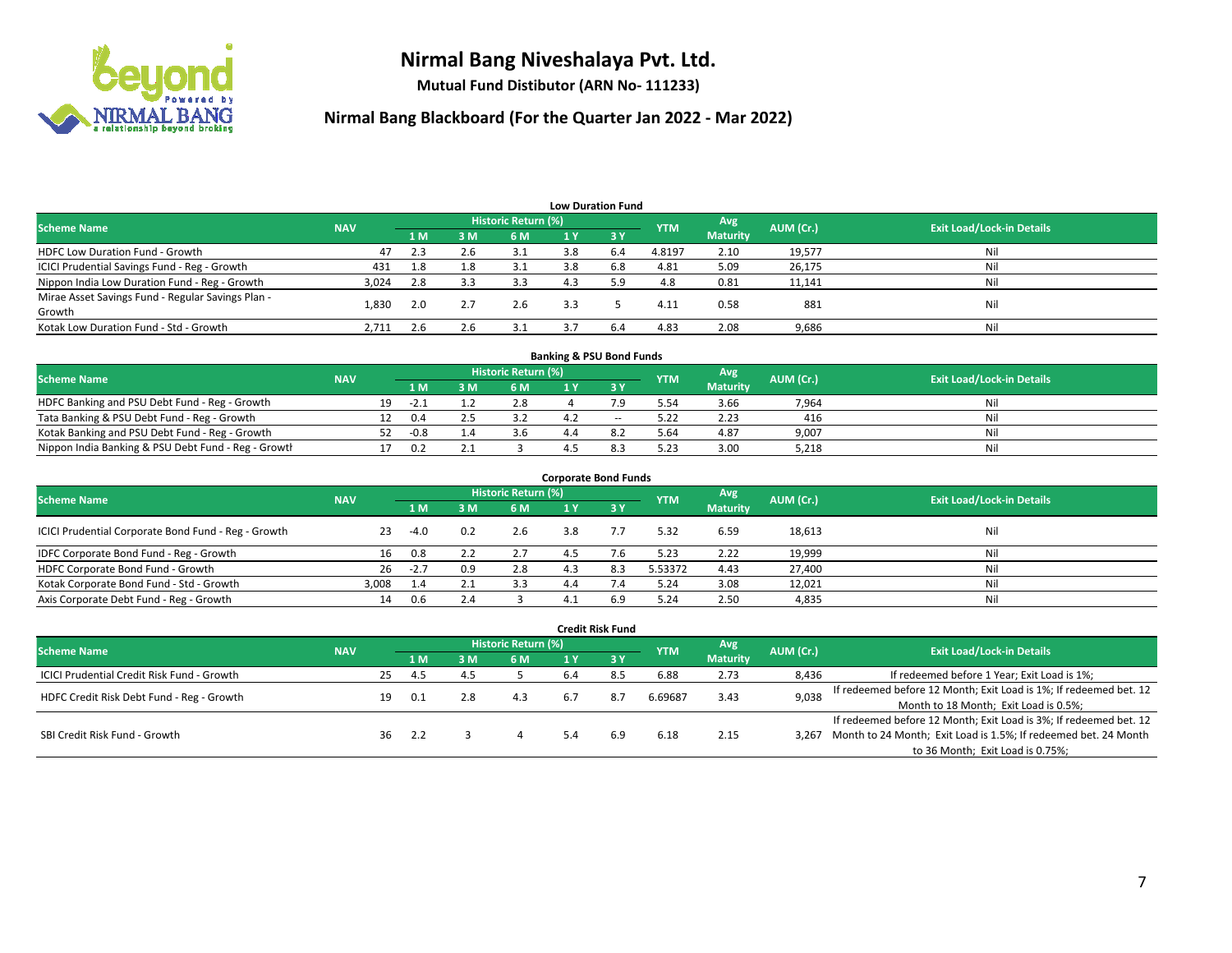

**Mutual Fund Distibutor (ARN No- 111233)**

| <b>Low Duration Fund</b>                          |            |     |     |                     |     |                  |            |                 |           |                                  |  |  |  |
|---------------------------------------------------|------------|-----|-----|---------------------|-----|------------------|------------|-----------------|-----------|----------------------------------|--|--|--|
| <b>Scheme Name</b>                                | <b>NAV</b> |     |     | Historic Return (%) |     |                  | <b>YTM</b> | Avg             | AUM (Cr.) | <b>Exit Load/Lock-in Details</b> |  |  |  |
|                                                   |            | 1 M | 3M  | 6 M                 | 1 Y | $\overline{3}$ Y |            | <b>Maturity</b> |           |                                  |  |  |  |
| <b>HDFC Low Duration Fund - Growth</b>            | 47         | 2.3 | 2.6 | 3.1                 | 3.8 | 6.4              | 4.8197     | 2.10            | 19,577    | Nil                              |  |  |  |
| ICICI Prudential Savings Fund - Reg - Growth      | 431        | 1.8 | 1.8 | 3.1                 | 3.8 | 6.8              | 4.81       | 5.09            | 26,175    | Nil                              |  |  |  |
| Nippon India Low Duration Fund - Reg - Growth     | 3,024      | 2.8 | 3.3 | 3.3                 | 4.3 | 5.9              | 4.8        | 0.81            | 11,141    | Nil                              |  |  |  |
| Mirae Asset Savings Fund - Regular Savings Plan - | 1.830      | 2.0 | 2.7 | 2.6                 | 3.3 |                  | 4.11       | 0.58            | 881       | Nil                              |  |  |  |
| Growth                                            |            |     |     |                     |     |                  |            |                 |           |                                  |  |  |  |
| Kotak Low Duration Fund - Std - Growth            | 2,711      |     | 2.6 | 3.1                 |     | 6.4              | 4.83       | 2.08            | 9,686     | Nil                              |  |  |  |

| <b>Banking &amp; PSU Bond Funds</b>                 |            |    |        |  |                     |  |        |            |                 |           |                                  |  |  |  |
|-----------------------------------------------------|------------|----|--------|--|---------------------|--|--------|------------|-----------------|-----------|----------------------------------|--|--|--|
| <b>Scheme Name</b>                                  | <b>NAV</b> |    |        |  | Historic Return (%) |  |        | <b>YTM</b> | Avg             | AUM (Cr.) | <b>Exit Load/Lock-in Details</b> |  |  |  |
|                                                     |            |    | 1 M    |  | 6 M                 |  |        |            | <b>Maturity</b> |           |                                  |  |  |  |
| HDFC Banking and PSU Debt Fund - Reg - Growth       |            | 19 | $-2.1$ |  | 2.8                 |  |        | 5.54       | 3.66            | 7,964     | Nil                              |  |  |  |
| Tata Banking & PSU Debt Fund - Reg - Growth         |            |    | 0.4    |  | ココ                  |  | $\sim$ | 5.22       | 2.23            | 416       | Nil                              |  |  |  |
| Kotak Banking and PSU Debt Fund - Reg - Growth      |            | 52 | $-0.8$ |  | 3.b                 |  |        | 5.64       | 4.87            | 9,007     | Nil                              |  |  |  |
| Nippon India Banking & PSU Debt Fund - Reg - Growth |            |    | 0.2    |  |                     |  |        | 5.23       | 3.00            | 5,218     | Nil                              |  |  |  |

| <b>Corporate Bond Funds</b>                         |            |        |     |                            |     |      |            |                 |           |                                  |  |
|-----------------------------------------------------|------------|--------|-----|----------------------------|-----|------|------------|-----------------|-----------|----------------------------------|--|
| <b>Scheme Name</b>                                  | <b>NAV</b> |        |     | <b>Historic Return (%)</b> |     |      |            | Avg             | AUM (Cr.) | <b>Exit Load/Lock-in Details</b> |  |
|                                                     |            | 1 M    | 3 M | 6 M                        |     | -3 Y | <b>YTM</b> | <b>Maturity</b> |           |                                  |  |
| ICICI Prudential Corporate Bond Fund - Reg - Growth | 23         | $-4.0$ | 0.2 | 2.6                        | 3.8 |      | 5.32       | 6.59            | 18,613    | Nil                              |  |
| IDFC Corporate Bond Fund - Reg - Growth             | 16         | 0.8    |     | 2.7                        | 4.5 |      | 5.23       | 2.22            | 19,999    | Nil                              |  |
| HDFC Corporate Bond Fund - Growth                   | 26         | $-2.7$ | 0.9 | 2.8                        |     | 8.3  | 5.53372    | 4.43            | 27,400    | Nil                              |  |
| Kotak Corporate Bond Fund - Std - Growth            | 3.008      | 1.4    |     | 3.3                        | 4.4 |      | 5.24       | 3.08            | 12,021    | Nil                              |  |
| Axis Corporate Debt Fund - Reg - Growth             | 14         | 0.6    |     |                            |     | 6.9  | 5.24       | 2.50            | 4,835     | Nil                              |  |

|                                                   |            |    |      |     |                            |     | <b>Credit Risk Fund</b> |            |                        |           |                                                                       |
|---------------------------------------------------|------------|----|------|-----|----------------------------|-----|-------------------------|------------|------------------------|-----------|-----------------------------------------------------------------------|
| <b>Scheme Name</b>                                | <b>NAV</b> |    |      |     | <b>Historic Return (%)</b> |     |                         | <b>YTM</b> | Avg<br><b>Maturity</b> | AUM (Cr.) | <b>Exit Load/Lock-in Details</b>                                      |
|                                                   |            |    | 1 M  | 3 M | 6 M                        | 1 Y | $\sqrt{3}$ Y            |            |                        |           |                                                                       |
| <b>ICICI Prudential Credit Risk Fund - Growth</b> |            | 25 | -4.5 | 4.5 |                            | 6.4 | 8.5                     | 6.88       | 2.73                   | 8,436     | If redeemed before 1 Year; Exit Load is 1%;                           |
| HDFC Credit Risk Debt Fund - Reg - Growth         |            | 19 | 0.1  |     | 4.3                        | 6.7 | 8.7                     | 6.69687    | 3.43                   | 9,038     | If redeemed before 12 Month; Exit Load is 1%; If redeemed bet. 12     |
|                                                   |            |    |      |     |                            |     |                         |            |                        |           | Month to 18 Month; Exit Load is 0.5%;                                 |
| SBI Credit Risk Fund - Growth                     |            |    |      |     |                            |     |                         |            |                        |           | If redeemed before 12 Month; Exit Load is 3%; If redeemed bet. 12     |
|                                                   |            | 36 | 2.2  |     |                            | 5.4 | 6.9                     | 6.18       | 2.15                   |           | 3,267 Month to 24 Month; Exit Load is 1.5%; If redeemed bet. 24 Month |
|                                                   |            |    |      |     |                            |     |                         |            |                        |           | to 36 Month; Exit Load is 0.75%;                                      |